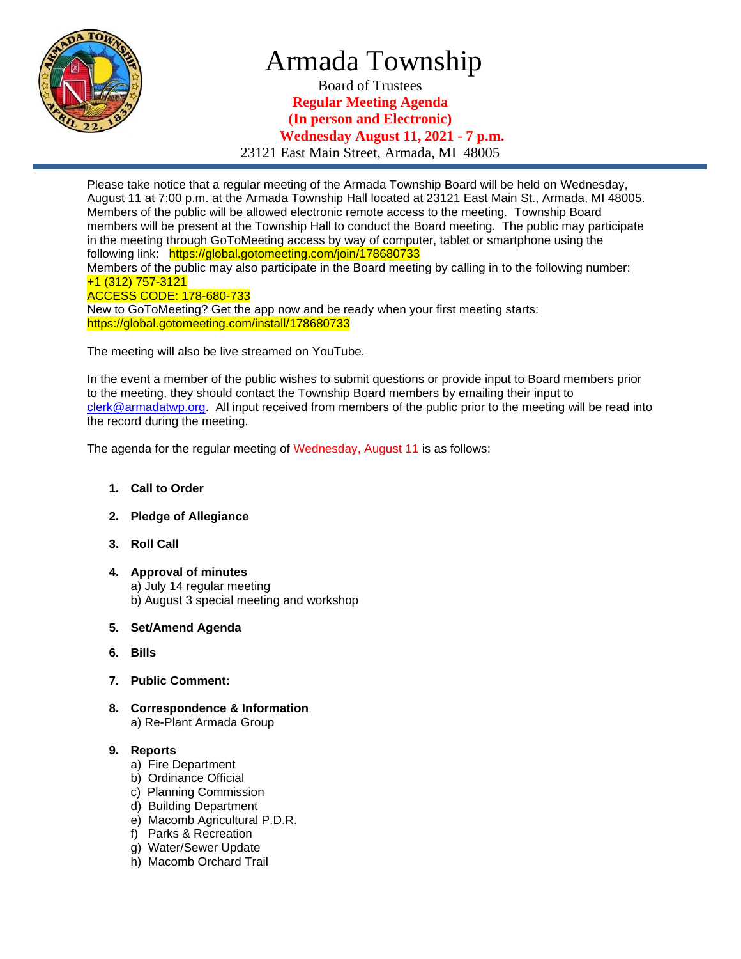

## Armada Township

Board of Trustees **Regular Meeting Agenda (In person and Electronic) Wednesday August 11, 2021 - 7 p.m.** 23121 East Main Street, Armada, MI 48005

Please take notice that a regular meeting of the Armada Township Board will be held on Wednesday, August 11 at 7:00 p.m. at the Armada Township Hall located at 23121 East Main St., Armada, MI 48005. Members of the public will be allowed electronic remote access to the meeting. Township Board members will be present at the Township Hall to conduct the Board meeting. The public may participate in the meeting through GoToMeeting access by way of computer, tablet or smartphone using the following link: https://global.gotomeeting.com/join/178680733 Members of the public may also participate in the Board meeting by calling in to the following number: +1 (312) 757-3121 ACCESS CODE: 178-680-733 New to GoToMeeting? Get the app now and be ready when your first meeting starts: https://global.gotomeeting.com/install/178680733

The meeting will also be live streamed on YouTube.

In the event a member of the public wishes to submit questions or provide input to Board members prior to the meeting, they should contact the Township Board members by emailing their input to [clerk@armadatwp.org.](mailto:clerk@armadatwp.org) All input received from members of the public prior to the meeting will be read into the record during the meeting.

The agenda for the regular meeting of Wednesday, August 11 is as follows:

- **1. Call to Order**
- **2. Pledge of Allegiance**
- **3. Roll Call**
- **4. Approval of minutes**  a) July 14 regular meeting b) August 3 special meeting and workshop
- **5. Set/Amend Agenda**
- **6. Bills**
- **7. Public Comment:**
- **8. Correspondence & Information** a) Re-Plant Armada Group

#### **9. Reports**

- a) Fire Department
- b) Ordinance Official
- c) Planning Commission
- d) Building Department
- e) Macomb Agricultural P.D.R.
- f) Parks & Recreation
- g) Water/Sewer Update
- h) Macomb Orchard Trail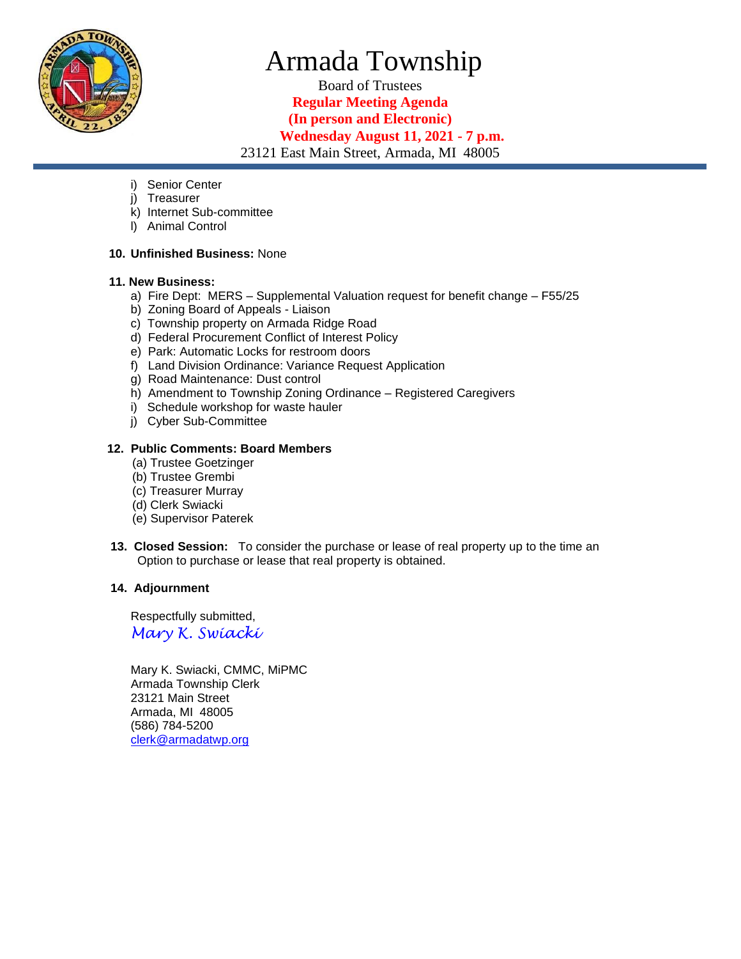

# Armada Township

Board of Trustees **Regular Meeting Agenda (In person and Electronic) Wednesday August 11, 2021 - 7 p.m.** 23121 East Main Street, Armada, MI 48005

- i) Senior Center
- j) Treasurer
- k) Internet Sub-committee
- l) Animal Control

#### **10. Unfinished Business:** None

#### **11. New Business:**

- a) Fire Dept: MERS Supplemental Valuation request for benefit change F55/25
- b) Zoning Board of Appeals Liaison
- c) Township property on Armada Ridge Road
- d) Federal Procurement Conflict of Interest Policy
- e) Park: Automatic Locks for restroom doors
- f) Land Division Ordinance: Variance Request Application
- g) Road Maintenance: Dust control
- h) Amendment to Township Zoning Ordinance Registered Caregivers
- i) Schedule workshop for waste hauler
- j) Cyber Sub-Committee

#### **12. Public Comments: Board Members**

- (a) Trustee Goetzinger
- (b) Trustee Grembi
- (c) Treasurer Murray
- (d) Clerk Swiacki
- (e) Supervisor Paterek
- **13. Closed Session:** To consider the purchase or lease of real property up to the time an Option to purchase or lease that real property is obtained.

#### **14. Adjournment**

 Respectfully submitted, *Mary K. Swiacki*

 Mary K. Swiacki, CMMC, MiPMC Armada Township Clerk 23121 Main Street Armada, MI 48005 (586) 784-5200 [clerk@armadatwp.org](mailto:clerk@armadatwp.org)